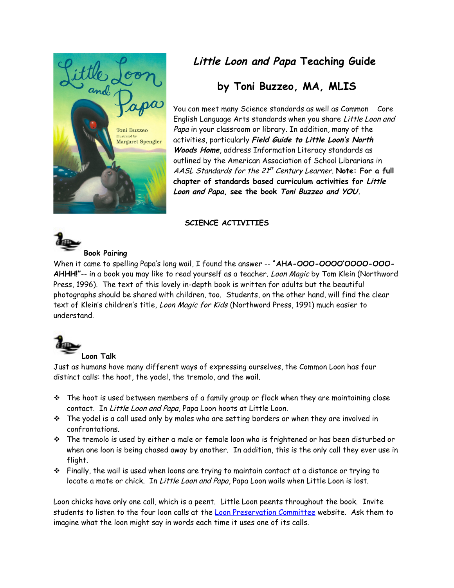

# **Little Loon and Papa Teaching Guide**

# **by Toni Buzzeo, MA, MLIS**

You can meet many Science standards as well as Common Core English Language Arts standards when you share Little Loon and Papa in your classroom or library. In addition, many of the activities, particularly **Field Guide to Little Loon's North Woods Home**, address Information Literacy standards as outlined by the American Association of School Librarians in AASL Standards for the 21<sup>st</sup> Century Learner. **Note: For a full chapter of standards based curriculum activities for Little Loon and Papa, see the book Toni Buzzeo and YOU.**

## **SCIENCE ACTIVITIES**



When it came to spelling Papa's long wail, I found the answer -- "**AHA-OOO-OOOO'OOOO-OOO-AHHH!"**-- in a book you may like to read yourself as a teacher. Loon Magic by Tom Klein (Northword Press, 1996). The text of this lovely in-depth book is written for adults but the beautiful photographs should be shared with children, too. Students, on the other hand, will find the clear text of Klein's children's title, Loon Magic for Kids (Northword Press, 1991) much easier to understand.



#### **Loon Talk**

Just as humans have many different ways of expressing ourselves, the Common Loon has four distinct calls: the hoot, the yodel, the tremolo, and the wail.

- $\cdot \cdot$  The hoot is used between members of a family group or flock when they are maintaining close contact. In Little Loon and Papa, Papa Loon hoots at Little Loon.
- The yodel is a call used only by males who are setting borders or when they are involved in confrontations.
- $\cdot \cdot$  The tremolo is used by either a male or female loon who is frightened or has been disturbed or when one loon is being chased away by another. In addition, this is the only call they ever use in flight.
- $\hat{\mathbf{v}}$  Finally, the wail is used when loons are trying to maintain contact at a distance or trying to locate a mate or chick. In Little Loon and Papa, Papa Loon wails when Little Loon is lost.

Loon chicks have only one call, which is a peent. Little Loon peents throughout the book. Invite students to listen to the four loon calls at the [Loon Preservation Committee](http://www.loon.org/multimedia.htm) website. Ask them to imagine what the loon might say in words each time it uses one of its calls.